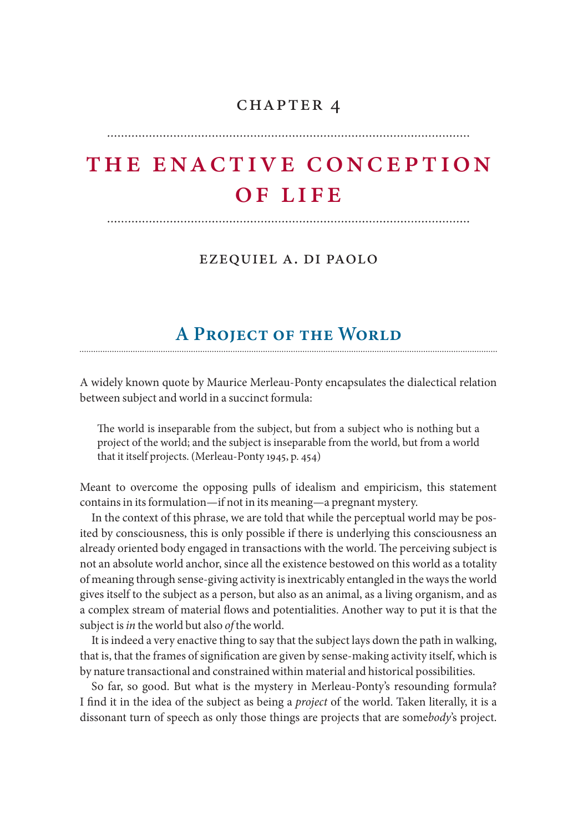#### CHAPTER 4

# THE ENACTIVE CONCEPTION OF LIFE

Ezequiel A. Di Paolo

## **A Project of the World**

A widely known quote by Maurice Merleau-Ponty encapsulates the dialectical relation between subject and world in a succinct formula:

The world is inseparable from the subject, but from a subject who is nothing but a project of the world; and the subject is inseparable from the world, but from a world that it itself projects. (Merleau-Ponty 1945, p. 454)

Meant to overcome the opposing pulls of idealism and empiricism, this statement contains in its formulation—if not in its meaning—a pregnant mystery.

In the context of this phrase, we are told that while the perceptual world may be posited by consciousness, this is only possible if there is underlying this consciousness an already oriented body engaged in transactions with the world. The perceiving subject is not an absolute world anchor, since all the existence bestowed on this world as a totality of meaning through sense-giving activity is inextricably entangled in the ways the world gives itself to the subject as a person, but also as an animal, as a living organism, and as a complex stream of material fows and potentialities. Another way to put it is that the subject is *in* the world but also *of* theworld.

It is indeed a very enactive thing to say that the subject lays down the path in walking, that is, that the frames of signifcation are given by sense-making activity itself, which is by nature transactional and constrained within material and historical possibilities.

So far, so good. But what is the mystery in Merleau-Ponty's resounding formula? I fnd it in the idea of the subject as being a *project* of the world. Taken literally, it is a dissonant turn of speech as only those things are projects that are some*body*'s project.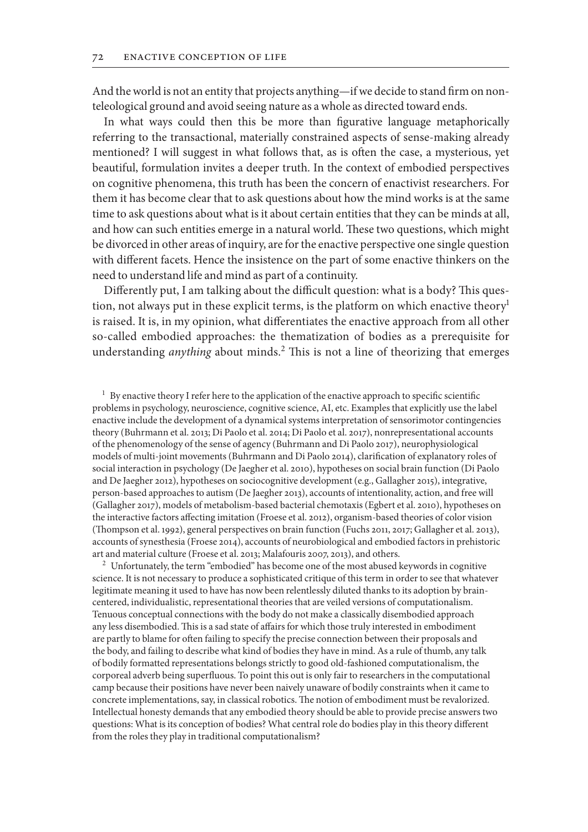And the world is not an entity that projects anything—if we decide to stand frm on nonteleological ground and avoid seeing nature as a whole as directed toward ends.

In what ways could then this be more than fgurative language metaphorically referring to the transactional, materially constrained aspects of sense-making already mentioned? I will suggest in what follows that, as is ofen the case, a mysterious, yet beautiful, formulation invites a deeper truth. In the context of embodied perspectives on cognitive phenomena, this truth has been the concern of enactivist researchers. For them it has become clear that to ask questions about how the mind works is at the same time to ask questions about what is it about certain entities that they can be minds at all, and how can such entities emerge in a natural world. These two questions, which might be divorced in other areas of inquiry, are for the enactive perspective one single question with diferent facets. Hence the insistence on the part of some enactive thinkers on the need to understand life and mind as part of a continuity.

Differently put, I am talking about the difficult question: what is a body? This question, not always put in these explicit terms, is the platform on which enactive theory<sup>1</sup> is raised. It is, in my opinion, what diferentiates the enactive approach from all other so-called embodied approaches: the thematization of bodies as a prerequisite for understanding *anything* about minds.<sup>2</sup> This is not a line of theorizing that emerges

 $1$  By enactive theory I refer here to the application of the enactive approach to specific scientific problems in psychology, neuroscience, cognitive science, AI, etc. Examples that explicitly use the label enactive include the development of a dynamical systems interpretation of sensorimotor contingencies theory (Buhrmann et al. 2013; Di Paolo et al. 2014; Di Paolo et al. 2017), nonrepresentational accounts of the phenomenology of the sense of agency (Buhrmann and Di Paolo 2017), neurophysiological models of multi-joint movements (Buhrmann and Di Paolo 2014), clarifcation of explanatory roles of social interaction in psychology (De Jaegher et al. 2010), hypotheses on social brain function (Di Paolo and De Jaegher 2012), hypotheses on sociocognitive development (e.g., Gallagher 2015), integrative, person-based approaches to autism (De Jaegher 2013), accounts of intentionality, action, and free will (Gallagher 2017), models of metabolism-based bacterial chemotaxis (Egbert et al. 2010), hypotheses on the interactive factors afecting imitation (Froese et al. 2012), organism-based theories of color vision (Tompson et al. 1992), general perspectives on brain function (Fuchs 2011, 2017; Gallagher et al. 2013), accounts of synesthesia (Froese 2014), accounts of neurobiological and embodied factors in prehistoric art and material culture (Froese et al. 2013; Malafouris 2007, 2013), and others.

<sup>2</sup> Unfortunately, the term "embodied" has become one of the most abused keywords in cognitive science. It is not necessary to produce a sophisticated critique of this term in order to see that whatever legitimate meaning it used to have has now been relentlessly diluted thanks to its adoption by braincentered, individualistic, representational theories that are veiled versions of computationalism. Tenuous conceptual connections with the body do not make a classically disembodied approach any less disembodied. This is a sad state of affairs for which those truly interested in embodiment are partly to blame for ofen failing to specify the precise connection between their proposals and the body, and failing to describe what kind of bodies they have in mind. As a rule of thumb, any talk of bodily formatted representations belongs strictly to good old-fashioned computationalism, the corporeal adverb being superfuous. To point this out is only fair to researchers in the computational camp because their positions have never been naively unaware of bodily constraints when it came to concrete implementations, say, in classical robotics. The notion of embodiment must be revalorized. Intellectual honesty demands that any embodied theory should be able to provide precise answers two questions: What is its conception of bodies? What central role do bodies play in this theory diferent from the roles they play in traditional computationalism?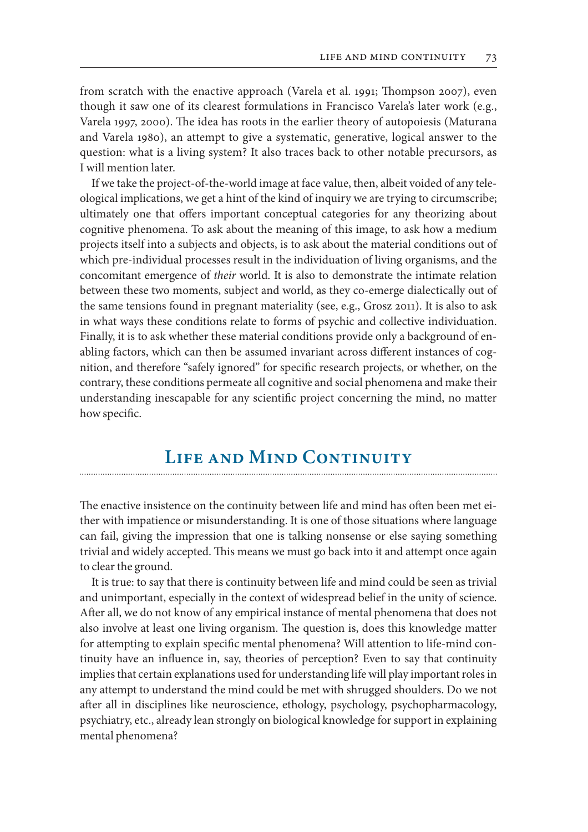from scratch with the enactive approach (Varela et al. 1991; Thompson 2007), even though it saw one of its clearest formulations in Francisco Varela's later work (e.g., Varela 1997, 2000). The idea has roots in the earlier theory of autopoiesis (Maturana and Varela 1980), an attempt to give a systematic, generative, logical answer to the question: what is a living system? It also traces back to other notable precursors, as I will mention later.

If we take the project-of-the-world image at face value, then, albeit voided of any teleological implications, we get a hint of the kind of inquiry we are trying to circumscribe; ultimately one that ofers important conceptual categories for any theorizing about cognitive phenomena. To ask about the meaning of this image, to ask how a medium projects itself into a subjects and objects, is to ask about the material conditions out of which pre-individual processes result in the individuation of living organisms, and the concomitant emergence of *their* world. It is also to demonstrate the intimate relation between these two moments, subject and world, as they co-emerge dialectically out of the same tensions found in pregnant materiality (see, e.g., Grosz 2011). It is also to ask in what ways these conditions relate to forms of psychic and collective individuation. Finally, it is to ask whether these material conditions provide only a background of enabling factors, which can then be assumed invariant across diferent instances of cognition, and therefore "safely ignored" for specifc research projects, or whether, on the contrary, these conditions permeate all cognitive and social phenomena and make their understanding inescapable for any scientifc project concerning the mind, no matter how specifc.

### **Life and Mind Continuity**

The enactive insistence on the continuity between life and mind has often been met either with impatience or misunderstanding. It is one of those situations where language can fail, giving the impression that one is talking nonsense or else saying something trivial and widely accepted. This means we must go back into it and attempt once again to clear the ground.

It is true: to say that there is continuity between life and mind could be seen as trivial and unimportant, especially in the context of widespread belief in the unity of science. Afer all, we do not know of any empirical instance of mental phenomena that does not also involve at least one living organism. The question is, does this knowledge matter for attempting to explain specifc mental phenomena? Will attention to life-mind continuity have an infuence in, say, theories of perception? Even to say that continuity implies that certain explanations used for understanding life will play important roles in any attempt to understand the mind could be met with shrugged shoulders. Do we not afer all in disciplines like neuroscience, ethology, psychology, psychopharmacology, psychiatry, etc., already lean strongly on biological knowledge for support in explaining mental phenomena?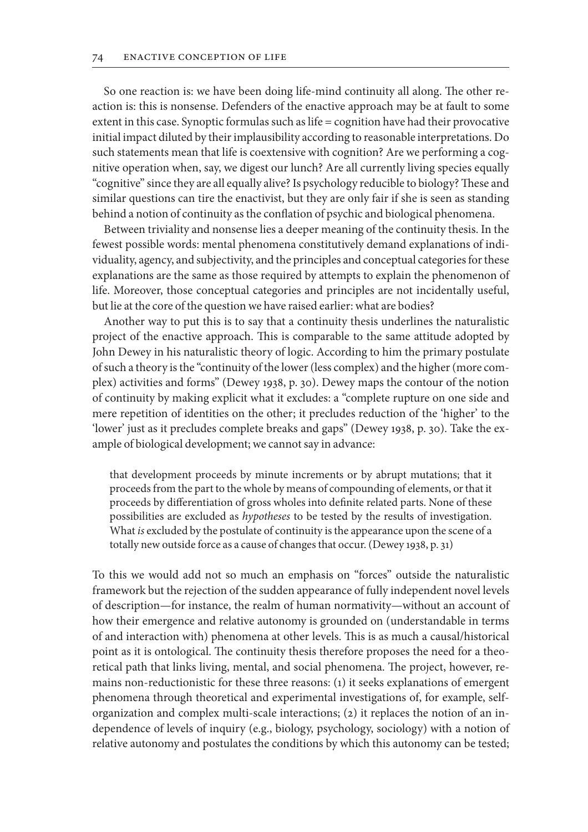So one reaction is: we have been doing life-mind continuity all along. The other reaction is: this is nonsense. Defenders of the enactive approach may be at fault to some extent in this case. Synoptic formulas such as life = cognition have had their provocative initial impact diluted by their implausibility according to reasonable interpretations. Do such statements mean that life is coextensive with cognition? Are we performing a cognitive operation when, say, we digest our lunch? Are all currently living species equally "cognitive" since they are all equally alive? Is psychology reducible to biology? These and similar questions can tire the enactivist, but they are only fair if she is seen as standing behind a notion of continuity as the confation of psychic and biological phenomena.

Between triviality and nonsense lies a deeper meaning of the continuity thesis. In the fewest possible words: mental phenomena constitutively demand explanations of individuality, agency, and subjectivity, and the principles and conceptual categories for these explanations are the same as those required by attempts to explain the phenomenon of life. Moreover, those conceptual categories and principles are not incidentally useful, but lie at the core of the question we have raised earlier: what are bodies?

Another way to put this is to say that a continuity thesis underlines the naturalistic project of the enactive approach. This is comparable to the same attitude adopted by John Dewey in his naturalistic theory of logic. According to him the primary postulate of such a theory is the "continuity of the lower (less complex) and the higher (more complex) activities and forms" (Dewey 1938, p. 30). Dewey maps the contour of the notion of continuity by making explicit what it excludes: a "complete rupture on one side and mere repetition of identities on the other; it precludes reduction of the 'higher' to the 'lower' just as it precludes complete breaks and gaps" (Dewey 1938, p. 30). Take the example of biological development; we cannot say in advance:

that development proceeds by minute increments or by abrupt mutations; that it proceeds from the part to the whole by means of compounding of elements, or that it proceeds by diferentiation of gross wholes into defnite related parts. None of these possibilities are excluded as *hypotheses* to be tested by the results of investigation. What *is* excluded by the postulate of continuity is the appearance upon the scene of a totally new outside force as a cause of changes that occur. (Dewey 1938, p. 31)

To this we would add not so much an emphasis on "forces" outside the naturalistic framework but the rejection of the sudden appearance of fully independent novel levels of description—for instance, the realm of human normativity—without an account of how their emergence and relative autonomy is grounded on (understandable in terms of and interaction with) phenomena at other levels. This is as much a causal/historical point as it is ontological. The continuity thesis therefore proposes the need for a theoretical path that links living, mental, and social phenomena. The project, however, remains non-reductionistic for these three reasons: (1) it seeks explanations of emergent phenomena through theoretical and experimental investigations of, for example, selforganization and complex multi-scale interactions; (2) it replaces the notion of an independence of levels of inquiry (e.g., biology, psychology, sociology) with a notion of relative autonomy and postulates the conditions by which this autonomy can be tested;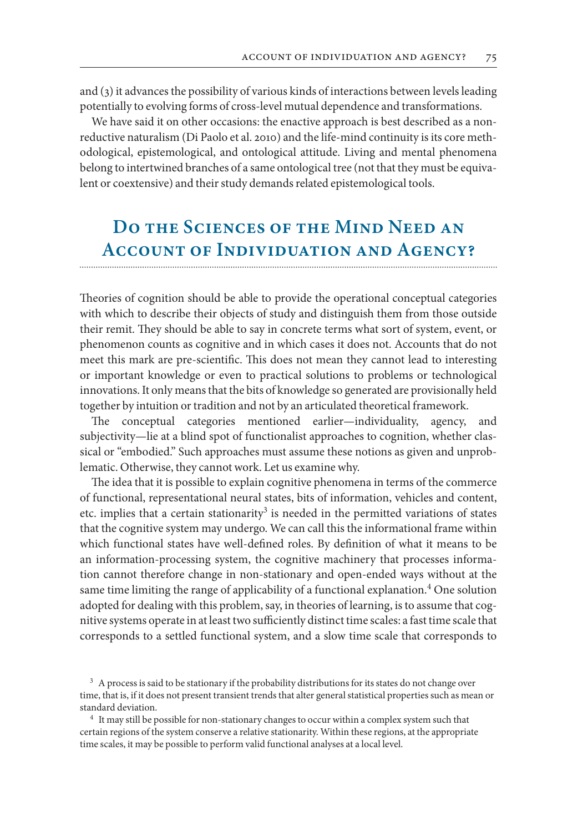and (3) it advances the possibility of various kinds of interactions between levels leading potentially to evolving forms of cross-level mutual dependence and transformations.

We have said it on other occasions: the enactive approach is best described as a nonreductive naturalism (Di Paolo et al. 2010) and the life-mind continuity is its core methodological, epistemological, and ontological attitude. Living and mental phenomena belong to intertwined branches of a same ontological tree (not that they must be equivalent or coextensive) and their study demands related epistemological tools.

## **Do the Sciences of the Mind Need an Account of Individuation and Agency?**

Theories of cognition should be able to provide the operational conceptual categories with which to describe their objects of study and distinguish them from those outside their remit. They should be able to say in concrete terms what sort of system, event, or phenomenon counts as cognitive and in which cases it does not. Accounts that do not meet this mark are pre-scientific. This does not mean they cannot lead to interesting or important knowledge or even to practical solutions to problems or technological innovations. It only means that the bits of knowledge so generated are provisionally held together by intuition or tradition and not by an articulated theoretical framework.

The conceptual categories mentioned earlier—individuality, agency, and subjectivity—lie at a blind spot of functionalist approaches to cognition, whether classical or "embodied." Such approaches must assume these notions as given and unproblematic. Otherwise, they cannot work. Let us examinewhy.

The idea that it is possible to explain cognitive phenomena in terms of the commerce of functional, representational neural states, bits of information, vehicles and content, etc. implies that a certain stationarity<sup>3</sup> is needed in the permitted variations of states that the cognitive system may undergo. We can call this the informational frame within which functional states have well-defned roles. By defnition of what it means to be an information-processing system, the cognitive machinery that processes information cannot therefore change in non-stationary and open-ended ways without at the same time limiting the range of applicability of a functional explanation.<sup>4</sup> One solution adopted for dealing with this problem, say, in theories of learning, is to assume that cognitive systems operate in at least two sufficiently distinct time scales: a fast time scale that corresponds to a settled functional system, and a slow time scale that corresponds to

<sup>&</sup>lt;sup>3</sup> A process is said to be stationary if the probability distributions for its states do not change over time, that is, if it does not present transient trends that alter general statistical properties such as mean or standard deviation.

<sup>&</sup>lt;sup>4</sup> It may still be possible for non-stationary changes to occur within a complex system such that certain regions of the system conserve a relative stationarity. Within these regions, at the appropriate time scales, it may be possible to perform valid functional analyses at a local level.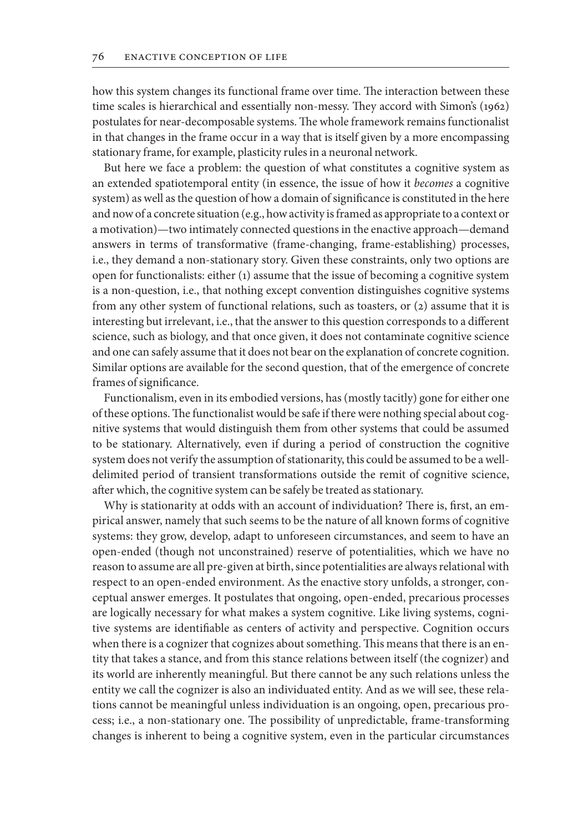how this system changes its functional frame over time. The interaction between these time scales is hierarchical and essentially non-messy. They accord with Simon's (1962) postulates for near-decomposable systems. The whole framework remains functionalist in that changes in the frame occur in a way that is itself given by a more encompassing stationary frame, for example, plasticity rules in a neuronal network.

But here we face a problem: the question of what constitutes a cognitive system as an extended spatiotemporal entity (in essence, the issue of how it *becomes* a cognitive system) as well as the question of how a domain of signifcance is constituted in the here and now of a concrete situation (e.g., how activity is framed as appropriate to a context or a motivation)—two intimately connected questions in the enactive approach—demand answers in terms of transformative (frame-changing, frame-establishing) processes, i.e., they demand a non-stationary story. Given these constraints, only two options are open for functionalists: either (1) assume that the issue of becoming a cognitive system is a non-question, i.e., that nothing except convention distinguishes cognitive systems from any other system of functional relations, such as toasters, or (2) assume that it is interesting but irrelevant, i.e., that the answer to this question corresponds to a diferent science, such as biology, and that once given, it does not contaminate cognitive science and one can safely assume that it does not bear on the explanation of concrete cognition. Similar options are available for the second question, that of the emergence of concrete frames of signifcance.

Functionalism, even in its embodied versions, has (mostly tacitly) gone for either one of these options. The functionalist would be safe if there were nothing special about cognitive systems that would distinguish them from other systems that could be assumed to be stationary. Alternatively, even if during a period of construction the cognitive system does not verify the assumption of stationarity, this could be assumed to be a welldelimited period of transient transformations outside the remit of cognitive science, afer which, the cognitive system can be safely be treated as stationary.

Why is stationarity at odds with an account of individuation? There is, first, an empirical answer, namely that such seems to be the nature of all known forms of cognitive systems: they grow, develop, adapt to unforeseen circumstances, and seem to have an open-ended (though not unconstrained) reserve of potentialities, which we have no reason to assume are all pre-given at birth, since potentialities are always relational with respect to an open-ended environment. As the enactive story unfolds, a stronger, conceptual answer emerges. It postulates that ongoing, open-ended, precarious processes are logically necessary for what makes a system cognitive. Like living systems, cognitive systems are identifable as centers of activity and perspective. Cognition occurs when there is a cognizer that cognizes about something. This means that there is an entity that takes a stance, and from this stance relations between itself (the cognizer) and its world are inherently meaningful. But there cannot be any such relations unless the entity we call the cognizer is also an individuated entity. And as we will see, these relations cannot be meaningful unless individuation is an ongoing, open, precarious process; i.e., a non-stationary one. The possibility of unpredictable, frame-transforming changes is inherent to being a cognitive system, even in the particular circumstances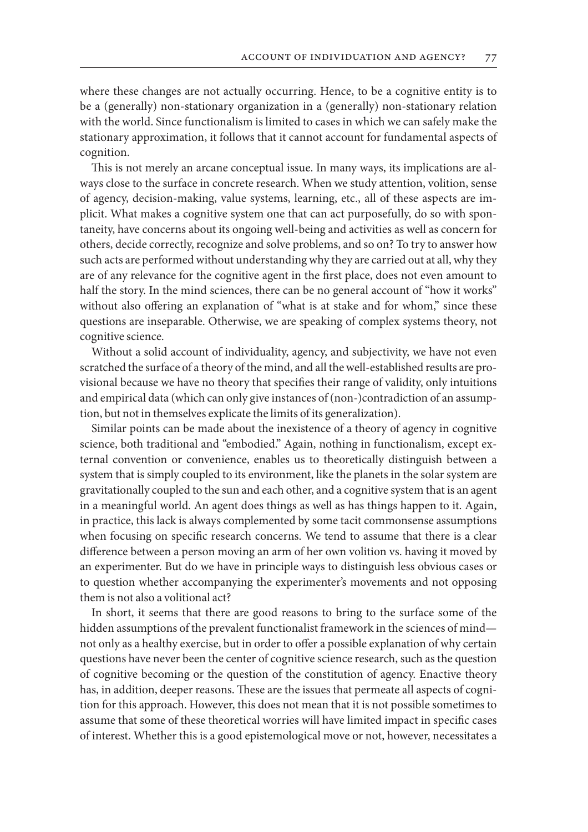where these changes are not actually occurring. Hence, to be a cognitive entity is to be a (generally) non-stationary organization in a (generally) non-stationary relation with the world. Since functionalism is limited to cases in which we can safely make the stationary approximation, it follows that it cannot account for fundamental aspects of cognition.

This is not merely an arcane conceptual issue. In many ways, its implications are always close to the surface in concrete research. When we study attention, volition, sense of agency, decision-making, value systems, learning, etc., all of these aspects are implicit. What makes a cognitive system one that can act purposefully, do so with spontaneity, have concerns about its ongoing well-being and activities as well as concern for others, decide correctly, recognize and solve problems, and so on? To try to answer how such acts are performed without understanding why they are carried out at all, why they are of any relevance for the cognitive agent in the frst place, does not even amount to half the story. In the mind sciences, there can be no general account of "how it works" without also offering an explanation of "what is at stake and for whom," since these questions are inseparable. Otherwise, we are speaking of complex systems theory, not cognitive science.

Without a solid account of individuality, agency, and subjectivity, we have not even scratched the surface of a theory of the mind, and all the well-established results are provisional because we have no theory that specifes their range of validity, only intuitions and empirical data (which can only give instances of (non-)contradiction of an assumption, but not in themselves explicate the limits of its generalization).

Similar points can be made about the inexistence of a theory of agency in cognitive science, both traditional and "embodied." Again, nothing in functionalism, except external convention or convenience, enables us to theoretically distinguish between a system that is simply coupled to its environment, like the planets in the solar system are gravitationally coupled to the sun and each other, and a cognitive system that is an agent in a meaningful world. An agent does things as well as has things happen to it. Again, in practice, this lack is always complemented by some tacit commonsense assumptions when focusing on specifc research concerns. We tend to assume that there is a clear diference between a person moving an arm of her own volition vs. having it moved by an experimenter. But do we have in principle ways to distinguish less obvious cases or to question whether accompanying the experimenter's movements and not opposing them is not also a volitional act?

In short, it seems that there are good reasons to bring to the surface some of the hidden assumptions of the prevalent functionalist framework in the sciences of mind not only as a healthy exercise, but in order to offer a possible explanation of why certain questions have never been the center of cognitive science research, such as the question of cognitive becoming or the question of the constitution of agency. Enactive theory has, in addition, deeper reasons. These are the issues that permeate all aspects of cognition for this approach. However, this does not mean that it is not possible sometimes to assume that some of these theoretical worries will have limited impact in specifc cases of interest. Whether this is a good epistemological move or not, however, necessitates a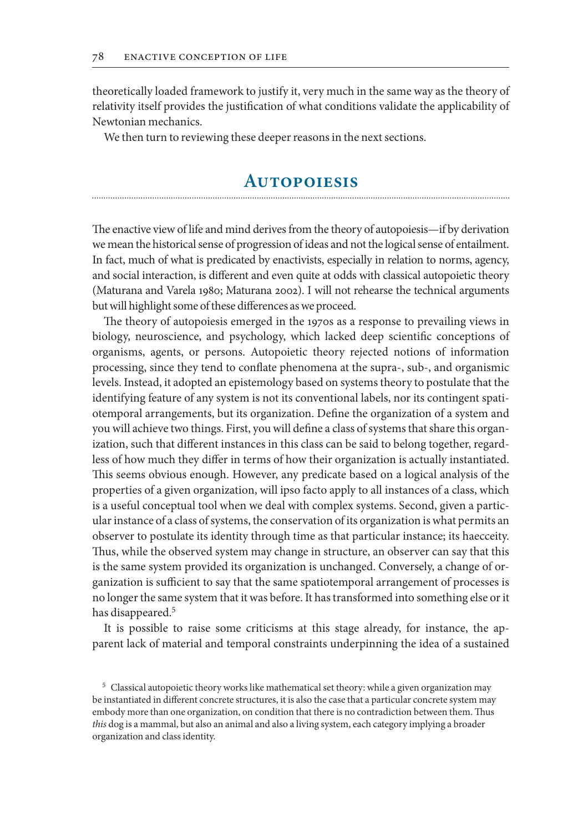theoretically loaded framework to justify it, very much in the same way as the theory of relativity itself provides the justifcation of what conditions validate the applicability of Newtonian mechanics.

We then turn to reviewing these deeper reasons in the next sections.

### **Autopoiesis**

The enactive view of life and mind derives from the theory of autopoiesis—if by derivation we mean the historical sense of progression of ideas and not the logical sense of entailment. In fact, much of what is predicated by enactivists, especially in relation to norms, agency, and social interaction, is diferent and even quite at odds with classical autopoietic theory (Maturana and Varela 1980; Maturana 2002). I will not rehearse the technical arguments but will highlight some of these diferences as we proceed.

The theory of autopoiesis emerged in the 1970s as a response to prevailing views in biology, neuroscience, and psychology, which lacked deep scientifc conceptions of organisms, agents, or persons. Autopoietic theory rejected notions of information processing, since they tend to confate phenomena at the supra-, sub-, and organismic levels. Instead, it adopted an epistemology based on systems theory to postulate that the identifying feature of any system is not its conventional labels, nor its contingent spatiotemporal arrangements, but its organization. Defne the organization of a system and you will achieve two things. First, you will defne a class of systems that share this organization, such that diferent instances in this class can be said to belong together, regardless of how much they difer in terms of how their organization is actually instantiated. This seems obvious enough. However, any predicate based on a logical analysis of the properties of a given organization, will ipso facto apply to all instances of a class, which is a useful conceptual tool when we deal with complex systems. Second, given a particular instance of a class of systems, the conservation of its organization is what permits an observer to postulate its identity through time as that particular instance; its haecceity. Thus, while the observed system may change in structure, an observer can say that this is the same system provided its organization is unchanged. Conversely, a change of organization is sufficient to say that the same spatiotemporal arrangement of processes is no longer the same system that it was before. It has transformed into something else or it has disappeared.<sup>5</sup>

It is possible to raise some criticisms at this stage already, for instance, the apparent lack of material and temporal constraints underpinning the idea of a sustained

<sup>&</sup>lt;sup>5</sup> Classical autopoietic theory works like mathematical set theory: while a given organization may be instantiated in diferent concrete structures, it is also the case that a particular concrete system may embody more than one organization, on condition that there is no contradiction between them. Tus *this* dog is a mammal, but also an animal and also a living system, each category implying a broader organization and class identity.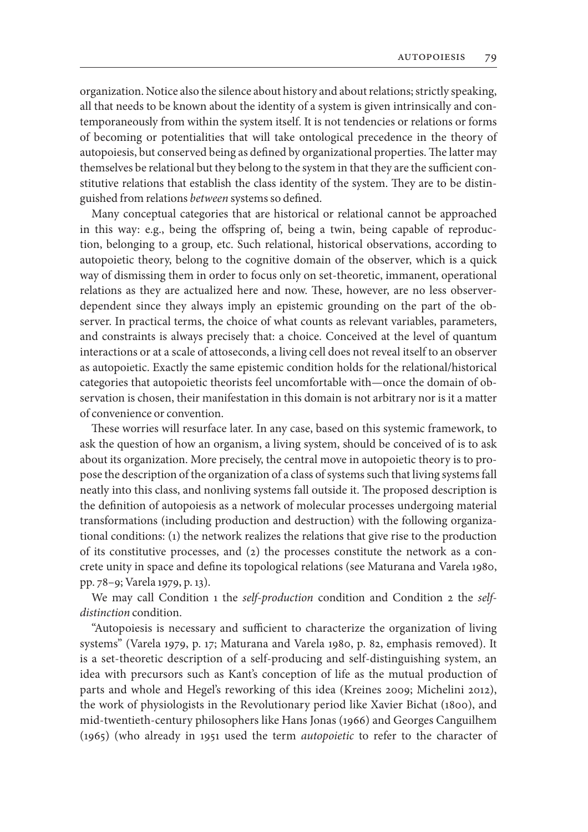organization. Notice also the silence about history and about relations; strictly speaking, all that needs to be known about the identity of a system is given intrinsically and contemporaneously from within the system itself. It is not tendencies or relations or forms of becoming or potentialities that will take ontological precedence in the theory of autopoiesis, but conserved being as defined by organizational properties. The latter may themselves be relational but they belong to the system in that they are the sufficient constitutive relations that establish the class identity of the system. They are to be distinguished from relations *between* systems so defned.

Many conceptual categories that are historical or relational cannot be approached in this way: e.g., being the ofspring of, being a twin, being capable of reproduction, belonging to a group, etc. Such relational, historical observations, according to autopoietic theory, belong to the cognitive domain of the observer, which is a quick way of dismissing them in order to focus only on set-theoretic, immanent, operational relations as they are actualized here and now. These, however, are no less observerdependent since they always imply an epistemic grounding on the part of the observer. In practical terms, the choice of what counts as relevant variables, parameters, and constraints is always precisely that: a choice. Conceived at the level of quantum interactions or at a scale of attoseconds, a living cell does not reveal itself to an observer as autopoietic. Exactly the same epistemic condition holds for the relational/historical categories that autopoietic theorists feel uncomfortable with—once the domain of observation is chosen, their manifestation in this domain is not arbitrary nor is it a matter of convenience or convention.

These worries will resurface later. In any case, based on this systemic framework, to ask the question of how an organism, a living system, should be conceived of is to ask about its organization. More precisely, the central move in autopoietic theory is to propose the description of the organization of a class of systems such that living systems fall neatly into this class, and nonliving systems fall outside it. The proposed description is the defnition of autopoiesis as a network of molecular processes undergoing material transformations (including production and destruction) with the following organizational conditions: (1) the network realizes the relations that give rise to the production of its constitutive processes, and (2) the processes constitute the network as a concrete unity in space and defne its topological relations (see Maturana and Varela 1980, pp. 78–9; Varela 1979, p. 13).

We may call Condition 1 the *self-production* condition and Condition 2 the *selfdistinction* condition.

"Autopoiesis is necessary and sufficient to characterize the organization of living systems" (Varela 1979, p. 17; Maturana and Varela 1980, p. 82, emphasis removed). It is a set-theoretic description of a self-producing and self-distinguishing system, an idea with precursors such as Kant's conception of life as the mutual production of parts and whole and Hegel's reworking of this idea (Kreines 2009; Michelini 2012), the work of physiologists in the Revolutionary period like Xavier Bichat (1800), and mid-twentieth-century philosophers like Hans Jonas (1966) and Georges Canguilhem (1965) (who already in 1951 used the term *autopoietic* to refer to the character of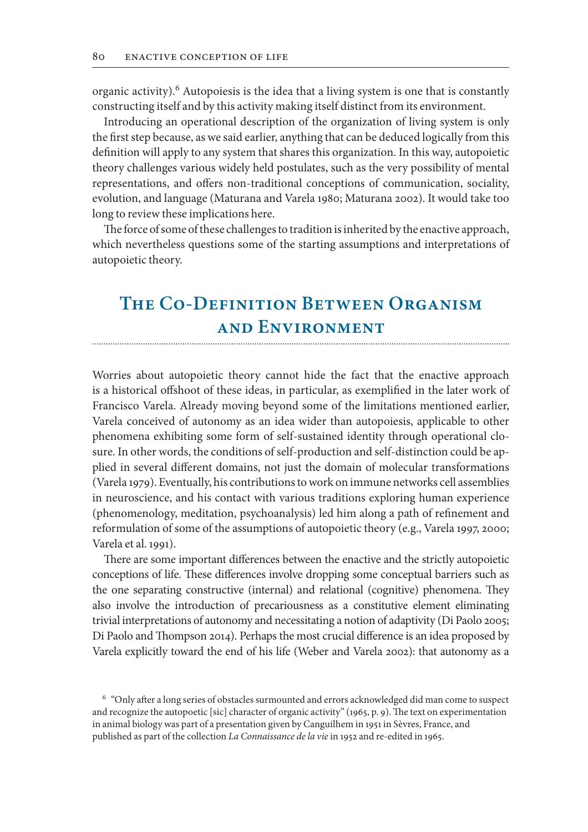organic activity).<sup>6</sup> Autopoiesis is the idea that a living system is one that is constantly constructing itself and by this activity making itself distinct from its environment.

Introducing an operational description of the organization of living system is only the frst step because, as we said earlier, anything that can be deduced logically from this defnition will apply to any system that shares this organization. In this way, autopoietic theory challenges various widely held postulates, such as the very possibility of mental representations, and offers non-traditional conceptions of communication, sociality, evolution, and language (Maturana and Varela 1980; Maturana 2002). It would take too long to review these implications here.

The force of some of these challenges to tradition is inherited by the enactive approach, which nevertheless questions some of the starting assumptions and interpretations of autopoietic theory.

# **The Co-Definition Between Organism and Environment**

Worries about autopoietic theory cannot hide the fact that the enactive approach is a historical ofshoot of these ideas, in particular, as exemplifed in the later work of Francisco Varela. Already moving beyond some of the limitations mentioned earlier, Varela conceived of autonomy as an idea wider than autopoiesis, applicable to other phenomena exhibiting some form of self-sustained identity through operational closure. In other words, the conditions of self-production and self-distinction could be applied in several diferent domains, not just the domain of molecular transformations (Varela 1979). Eventually, his contributions to work on immune networks cell assemblies in neuroscience, and his contact with various traditions exploring human experience (phenomenology, meditation, psychoanalysis) led him along a path of refnement and reformulation of some of the assumptions of autopoietic theory (e.g., Varela 1997, 2000; Varela et al. 1991).

There are some important differences between the enactive and the strictly autopoietic conceptions of life. These differences involve dropping some conceptual barriers such as the one separating constructive (internal) and relational (cognitive) phenomena. They also involve the introduction of precariousness as a constitutive element eliminating trivial interpretations of autonomy and necessitating a notion of adaptivity (Di Paolo 2005; Di Paolo and Thompson 2014). Perhaps the most crucial difference is an idea proposed by Varela explicitly toward the end of his life (Weber and Varela 2002): that autonomy as a

<sup>&</sup>lt;sup>6</sup> "Only after a long series of obstacles surmounted and errors acknowledged did man come to suspect and recognize the autopoetic [sic] character of organic activity" (1965, p. 9). The text on experimentation in animal biology was part of a presentation given by Canguilhem in 1951 in Sèvres, France, and published as part of the collection *La Connaissance de la vie* in 1952 and re-edited in 1965.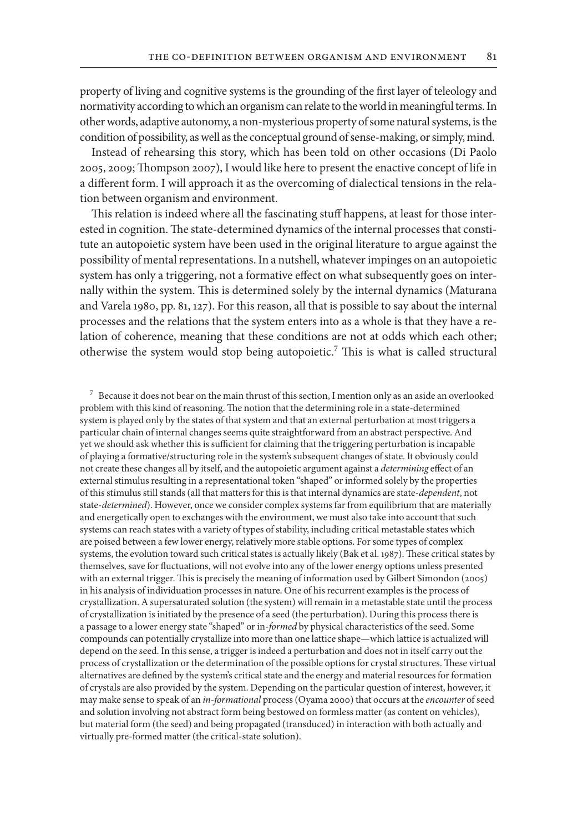property of living and cognitive systems is the grounding of the frst layer of teleology and normativity according to which an organism can relate to the world in meaningful terms. In other words, adaptive autonomy, a non-mysterious property of some natural systems, is the condition of possibility, as well as the conceptual ground of sense-making, or simply, mind.

Instead of rehearsing this story, which has been told on other occasions (Di Paolo 2005, 2009; Tompson 2007), I would like here to present the enactive concept of life in a diferent form. I will approach it as the overcoming of dialectical tensions in the relation between organism and environment.

This relation is indeed where all the fascinating stuff happens, at least for those interested in cognition. The state-determined dynamics of the internal processes that constitute an autopoietic system have been used in the original literature to argue against the possibility of mental representations. In a nutshell, whatever impinges on an autopoietic system has only a triggering, not a formative efect on what subsequently goes on internally within the system. This is determined solely by the internal dynamics (Maturana and Varela 1980, pp. 81, 127). For this reason, all that is possible to say about the internal processes and the relations that the system enters into as a whole is that they have a relation of coherence, meaning that these conditions are not at odds which each other; otherwise the system would stop being autopoietic.<sup>7</sup> This is what is called structural

 $^7$  Because it does not bear on the main thrust of this section, I mention only as an aside an overlooked problem with this kind of reasoning. The notion that the determining role in a state-determined system is played only by the states of that system and that an external perturbation at most triggers a particular chain of internal changes seems quite straightforward from an abstract perspective. And yet we should ask whether this is sufficient for claiming that the triggering perturbation is incapable of playing a formative/structuring role in the system's subsequent changes of state. It obviously could not create these changes all by itself, and the autopoietic argument against a *determining* efect of an external stimulus resulting in a representational token "shaped" or informed solely by the properties of this stimulus still stands (all that matters for this is that internal dynamics are state-*dependent*, not state-*determined*). However, once we consider complex systems far from equilibrium that are materially and energetically open to exchanges with the environment, we must also take into account that such systems can reach states with a variety of types of stability, including critical metastable states which are poised between a few lower energy, relatively more stable options. For some types of complex systems, the evolution toward such critical states is actually likely (Bak et al. 1987). These critical states by themselves, save for fuctuations, will not evolve into any of the lower energy options unless presented with an external trigger. This is precisely the meaning of information used by Gilbert Simondon (2005) in his analysis of individuation processes in nature. One of his recurrent examples is the process of crystallization. A supersaturated solution (the system) will remain in a metastable state until the process of crystallization is initiated by the presence of a seed (the perturbation). During this process there is a passage to a lower energy state "shaped" or in-*formed* by physical characteristics of the seed. Some compounds can potentially crystallize into more than one lattice shape—which lattice is actualized will depend on the seed. In this sense, a trigger is indeed a perturbation and does not in itself carry out the process of crystallization or the determination of the possible options for crystal structures. These virtual alternatives are defned by the system's critical state and the energy and material resources for formation of crystals are also provided by the system. Depending on the particular question of interest, however, it may make sense to speak of an *in-formational* process (Oyama 2000) that occurs at the *encounter* of seed and solution involving not abstract form being bestowed on formless matter (as content on vehicles), but material form (the seed) and being propagated (transduced) in interaction with both actually and virtually pre-formed matter (the critical-state solution).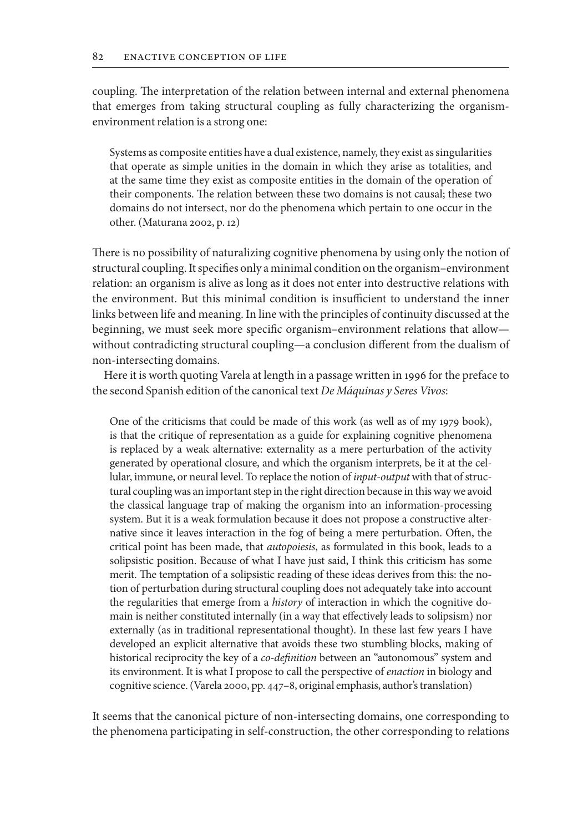coupling. The interpretation of the relation between internal and external phenomena that emerges from taking structural coupling as fully characterizing the organismenvironment relation is a strong one:

Systems as composite entities have a dual existence, namely, they exist as singularities that operate as simple unities in the domain in which they arise as totalities, and at the same time they exist as composite entities in the domain of the operation of their components. The relation between these two domains is not causal; these two domains do not intersect, nor do the phenomena which pertain to one occur in the other. (Maturana 2002, p. 12)

There is no possibility of naturalizing cognitive phenomena by using only the notion of structural coupling. It specifes only a minimal condition on the organism–environment relation: an organism is alive as long as it does not enter into destructive relations with the environment. But this minimal condition is insufficient to understand the inner links between life and meaning. In line with the principles of continuity discussed at the beginning, we must seek more specifc organism–environment relations that allow without contradicting structural coupling—a conclusion diferent from the dualism of non-intersecting domains.

Here it is worth quoting Varela at length in a passage written in 1996 for the preface to the second Spanish edition of the canonical text *De Máquinas y Seres Vivos*:

One of the criticisms that could be made of this work (as well as of my 1979 book), is that the critique of representation as a guide for explaining cognitive phenomena is replaced by a weak alternative: externality as a mere perturbation of the activity generated by operational closure, and which the organism interprets, be it at the cellular, immune, or neural level. To replace the notion of *input-output* with that of structural coupling was an important step in the right direction because in this way we avoid the classical language trap of making the organism into an information-processing system. But it is a weak formulation because it does not propose a constructive alternative since it leaves interaction in the fog of being a mere perturbation. Ofen, the critical point has been made, that *autopoiesis*, as formulated in this book, leads to a solipsistic position. Because of what I have just said, I think this criticism has some merit. The temptation of a solipsistic reading of these ideas derives from this: the notion of perturbation during structural coupling does not adequately take into account the regularities that emerge from a *history* of interaction in which the cognitive domain is neither constituted internally (in a way that efectively leads to solipsism) nor externally (as in traditional representational thought). In these last few years I have developed an explicit alternative that avoids these two stumbling blocks, making of historical reciprocity the key of a *co-de*f*nition* between an "autonomous" system and its environment. It is what I propose to call the perspective of *enaction* in biology and cognitive science. (Varela 2000, pp. 447–8, original emphasis, author's translation)

It seems that the canonical picture of non-intersecting domains, one corresponding to the phenomena participating in self-construction, the other corresponding to relations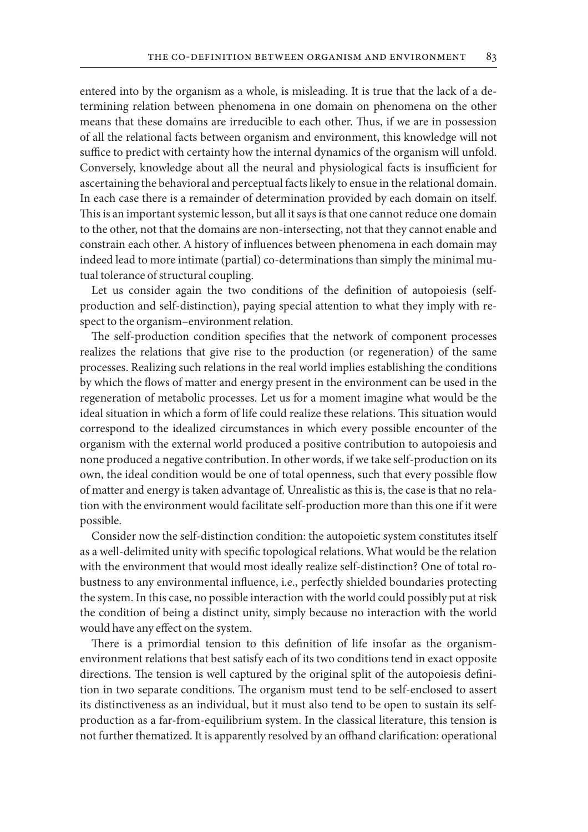entered into by the organism as a whole, is misleading. It is true that the lack of a determining relation between phenomena in one domain on phenomena on the other means that these domains are irreducible to each other. Thus, if we are in possession of all the relational facts between organism and environment, this knowledge will not suffice to predict with certainty how the internal dynamics of the organism will unfold. Conversely, knowledge about all the neural and physiological facts is insufficient for ascertaining the behavioral and perceptual facts likely to ensue in the relational domain. In each case there is a remainder of determination provided by each domain on itself. This is an important systemic lesson, but all it says is that one cannot reduce one domain to the other, not that the domains are non-intersecting, not that they cannot enable and constrain each other. A history of infuences between phenomena in each domain may indeed lead to more intimate (partial) co-determinations than simply the minimal mutual tolerance of structural coupling.

Let us consider again the two conditions of the defnition of autopoiesis (selfproduction and self-distinction), paying special attention to what they imply with respect to the organism–environment relation.

The self-production condition specifies that the network of component processes realizes the relations that give rise to the production (or regeneration) of the same processes. Realizing such relations in the real world implies establishing the conditions by which the fows of matter and energy present in the environment can be used in the regeneration of metabolic processes. Let us for a moment imagine what would be the ideal situation in which a form of life could realize these relations. This situation would correspond to the idealized circumstances in which every possible encounter of the organism with the external world produced a positive contribution to autopoiesis and none produced a negative contribution. In other words, if we take self-production on its own, the ideal condition would be one of total openness, such that every possible fow of matter and energy is taken advantage of. Unrealistic as this is, the case is that no relation with the environment would facilitate self-production more than this one if it were possible.

Consider now the self-distinction condition: the autopoietic system constitutes itself as a well-delimited unity with specifc topological relations. What would be the relation with the environment that would most ideally realize self-distinction? One of total robustness to any environmental infuence, i.e., perfectly shielded boundaries protecting the system. In this case, no possible interaction with the world could possibly put at risk the condition of being a distinct unity, simply because no interaction with the world would have any efect on the system.

There is a primordial tension to this definition of life insofar as the organismenvironment relations that best satisfy each of its two conditions tend in exact opposite directions. The tension is well captured by the original split of the autopoiesis definition in two separate conditions. The organism must tend to be self-enclosed to assert its distinctiveness as an individual, but it must also tend to be open to sustain its selfproduction as a far-from-equilibrium system. In the classical literature, this tension is not further thematized. It is apparently resolved by an offhand clarification: operational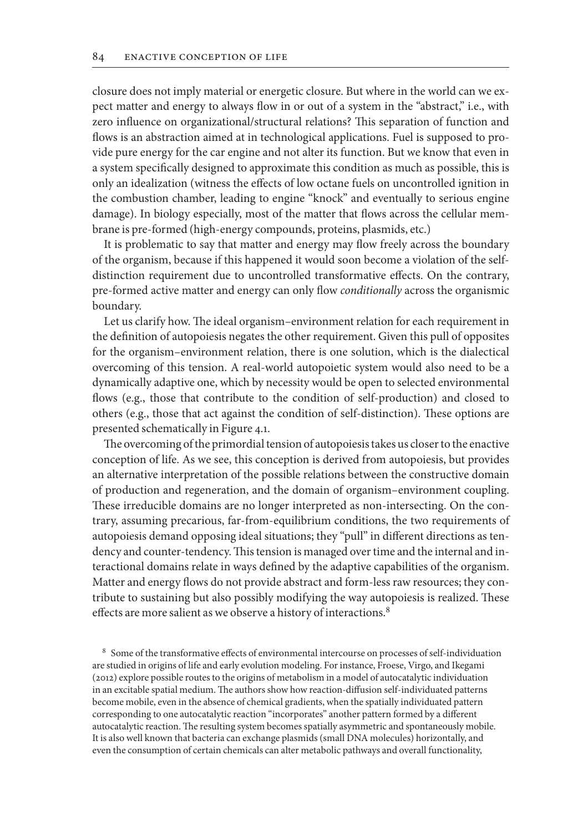closure does not imply material or energetic closure. But where in the world can we expect matter and energy to always flow in or out of a system in the "abstract," i.e., with zero influence on organizational/structural relations? This separation of function and fows is an abstraction aimed at in technological applications. Fuel is supposed to provide pure energy for the car engine and not alter its function. But we know that even in a system specifcally designed to approximate this condition as much as possible, this is only an idealization (witness the efects of low octane fuels on uncontrolled ignition in the combustion chamber, leading to engine "knock" and eventually to serious engine damage). In biology especially, most of the matter that flows across the cellular membrane is pre-formed (high-energy compounds, proteins, plasmids, etc.)

It is problematic to say that matter and energy may flow freely across the boundary of the organism, because if this happened it would soon become a violation of the selfdistinction requirement due to uncontrolled transformative efects. On the contrary, pre-formed active matter and energy can only fow *conditionally* across the organismic boundary.

Let us clarify how. The ideal organism-environment relation for each requirement in the defnition of autopoiesis negates the other requirement. Given this pull of opposites for the organism–environment relation, there is one solution, which is the dialectical overcoming of this tension. A real-world autopoietic system would also need to be a dynamically adaptive one, which by necessity would be open to selected environmental flows (e.g., those that contribute to the condition of self-production) and closed to others (e.g., those that act against the condition of self-distinction). These options are presented schematically in Figure 4.1.

The overcoming of the primordial tension of autopoiesis takes us closer to the enactive conception of life. As we see, this conception is derived from autopoiesis, but provides an alternative interpretation of the possible relations between the constructive domain of production and regeneration, and the domain of organism–environment coupling. These irreducible domains are no longer interpreted as non-intersecting. On the contrary, assuming precarious, far-from-equilibrium conditions, the two requirements of autopoiesis demand opposing ideal situations; they "pull" in diferent directions as tendency and counter-tendency. This tension is managed over time and the internal and interactional domains relate in ways defned by the adaptive capabilities of the organism. Matter and energy flows do not provide abstract and form-less raw resources; they contribute to sustaining but also possibly modifying the way autopoiesis is realized. These effects are more salient as we observe a history of interactions.<sup>8</sup>

<sup>8</sup> Some of the transformative effects of environmental intercourse on processes of self-individuation are studied in origins of life and early evolution modeling. For instance, Froese, Virgo, and Ikegami (2012) explore possible routes to the origins of metabolism in a model of autocatalytic individuation in an excitable spatial medium. The authors show how reaction-diffusion self-individuated patterns become mobile, even in the absence of chemical gradients, when the spatially individuated pattern corresponding to one autocatalytic reaction "incorporates" another pattern formed by a diferent autocatalytic reaction. The resulting system becomes spatially asymmetric and spontaneously mobile. It is also well known that bacteria can exchange plasmids (small DNA molecules) horizontally, and even the consumption of certain chemicals can alter metabolic pathways and overall functionality,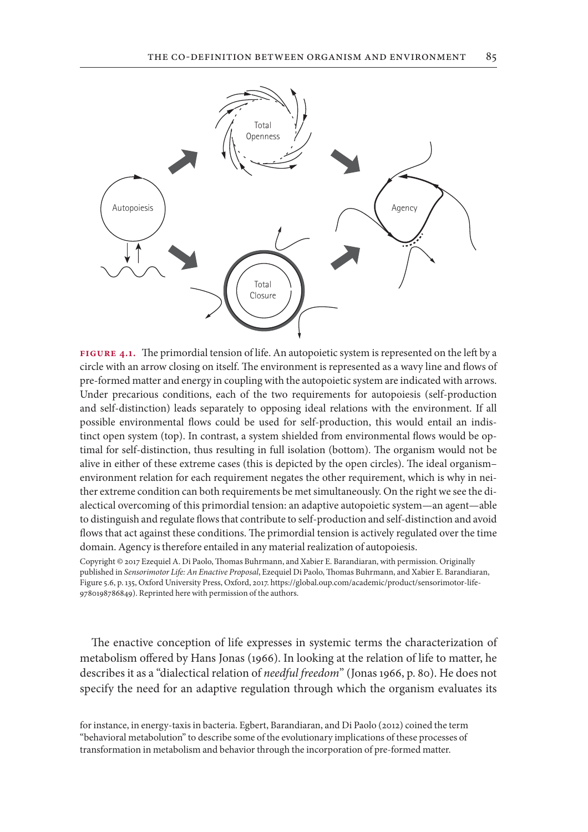

FIGURE 4.1. The primordial tension of life. An autopoietic system is represented on the left by a circle with an arrow closing on itself. The environment is represented as a wavy line and flows of pre-formed matter and energy in coupling with the autopoietic system are indicated with arrows. Under precarious conditions, each of the two requirements for autopoiesis (self-production and self-distinction) leads separately to opposing ideal relations with the environment. If all possible environmental flows could be used for self-production, this would entail an indistinct open system (top). In contrast, a system shielded from environmental flows would be optimal for self-distinction, thus resulting in full isolation (bottom). The organism would not be alive in either of these extreme cases (this is depicted by the open circles). The ideal organismenvironment relation for each requirement negates the other requirement, which is why in neither extreme condition can both requirements be met simultaneously. On the right we see the dialectical overcoming of this primordial tension: an adaptive autopoietic system—an agent—able to distinguish and regulate flows that contribute to self-production and self-distinction and avoid flows that act against these conditions. The primordial tension is actively regulated over the time domain. Agency is therefore entailed in any material realization of autopoiesis.

Copyright © 2017 Ezequiel A. Di Paolo, Thomas Buhrmann, and Xabier E. Barandiaran, with permission. Originally published in *Sensorimotor Life: An Enactive Proposal*, Ezequiel Di Paolo, Tomas Buhrmann, and Xabier E. Barandiaran, Figure 5.6, p. 135, Oxford University Press, Oxford, 2017. https://global.oup.com/academic/product/sensorimotor-life-9780198786849). Reprinted here with permission of the authors.

The enactive conception of life expresses in systemic terms the characterization of metabolism ofered by Hans Jonas (1966). In looking at the relation of life to matter, he describes it as a "dialectical relation of *needful freedom*" (Jonas 1966, p. 80). He does not specify the need for an adaptive regulation through which the organism evaluates its

for instance, in energy-taxis in bacteria. Egbert, Barandiaran, and Di Paolo (2012) coined the term "behavioral metabolution" to describe some of the evolutionary implications of these processes of transformation in metabolism and behavior through the incorporation of pre-formed matter.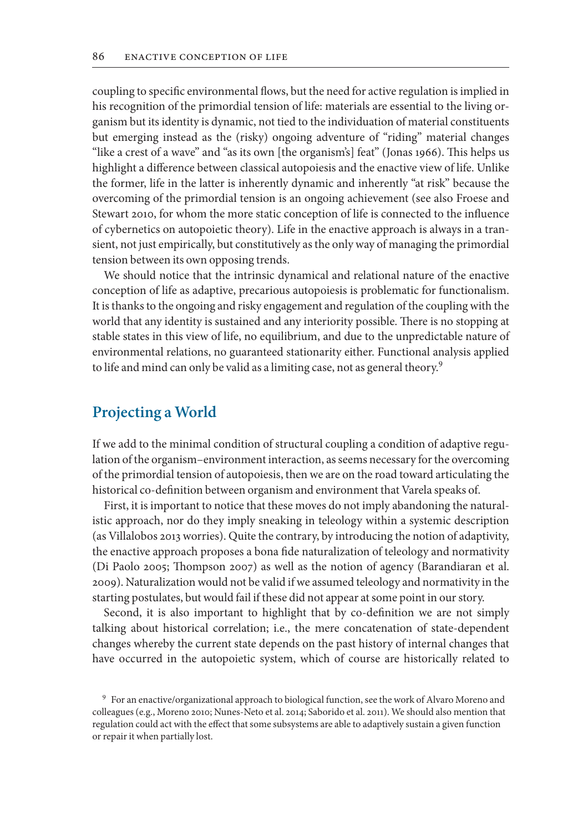coupling to specific environmental flows, but the need for active regulation is implied in his recognition of the primordial tension of life: materials are essential to the living organism but its identity is dynamic, not tied to the individuation of material constituents but emerging instead as the (risky) ongoing adventure of "riding" material changes "like a crest of a wave" and "as its own [the organism's] feat" (Jonas 1966). This helps us highlight a diference between classical autopoiesis and the enactive view of life. Unlike the former, life in the latter is inherently dynamic and inherently "at risk" because the overcoming of the primordial tension is an ongoing achievement (see also Froese and Stewart 2010, for whom the more static conception of life is connected to the infuence of cybernetics on autopoietic theory). Life in the enactive approach is always in a transient, not just empirically, but constitutively as the only way of managing the primordial tension between its own opposing trends.

We should notice that the intrinsic dynamical and relational nature of the enactive conception of life as adaptive, precarious autopoiesis is problematic for functionalism. It is thanks to the ongoing and risky engagement and regulation of the coupling with the world that any identity is sustained and any interiority possible. There is no stopping at stable states in this view of life, no equilibrium, and due to the unpredictable nature of environmental relations, no guaranteed stationarity either. Functional analysis applied to life and mind can only be valid as a limiting case, not as general theory.<sup>9</sup>

### **Projecting a World**

If we add to the minimal condition of structural coupling a condition of adaptive regulation of the organism–environment interaction, as seems necessary for the overcoming of the primordial tension of autopoiesis, then we are on the road toward articulating the historical co-defnition between organism and environment that Varela speaks of.

First, it is important to notice that these moves do not imply abandoning the naturalistic approach, nor do they imply sneaking in teleology within a systemic description (as Villalobos 2013 worries). Quite the contrary, by introducing the notion of adaptivity, the enactive approach proposes a bona fde naturalization of teleology and normativity (Di Paolo 2005; Thompson 2007) as well as the notion of agency (Barandiaran et al. 2009). Naturalization would not be valid if we assumed teleology and normativity in the starting postulates, but would fail if these did not appear at some point in our story.

Second, it is also important to highlight that by co-defnition we are not simply talking about historical correlation; i.e., the mere concatenation of state-dependent changes whereby the current state depends on the past history of internal changes that have occurred in the autopoietic system, which of course are historically related to

<sup>&</sup>lt;sup>9</sup> For an enactive/organizational approach to biological function, see the work of Alvaro Moreno and colleagues (e.g., Moreno 2010; Nunes-Neto et al. 2014; Saborido et al. 2011). We should also mention that regulation could act with the efect that some subsystems are able to adaptively sustain a given function or repair it when partially lost.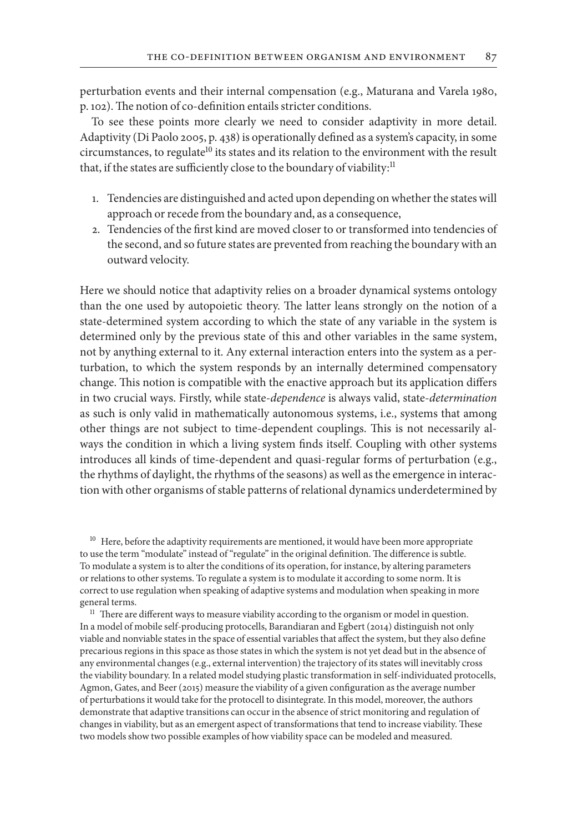perturbation events and their internal compensation (e.g., Maturana and Varela 1980, p. 102). The notion of co-definition entails stricter conditions.

To see these points more clearly we need to consider adaptivity in more detail. Adaptivity (Di Paolo 2005, p. 438) is operationally defned as a system's capacity, in some circumstances, to regulate<sup>10</sup> its states and its relation to the environment with the result that, if the states are sufficiently close to the boundary of viability:<sup>11</sup>

- 1. Tendencies are distinguished and acted upon depending on whether the states will approach or recede from the boundary and, as a consequence,
- 2. Tendencies of the frst kind are moved closer to or transformed into tendencies of the second, and so future states are prevented from reaching the boundary with an outward velocity.

Here we should notice that adaptivity relies on a broader dynamical systems ontology than the one used by autopoietic theory. The latter leans strongly on the notion of a state-determined system according to which the state of any variable in the system is determined only by the previous state of this and other variables in the same system, not by anything external to it. Any external interaction enters into the system as a perturbation, to which the system responds by an internally determined compensatory change. This notion is compatible with the enactive approach but its application differs in two crucial ways. Firstly, while state-*dependence* is always valid, state-*determination* as such is only valid in mathematically autonomous systems, i.e., systems that among other things are not subject to time-dependent couplings. This is not necessarily always the condition in which a living system fnds itself. Coupling with other systems introduces all kinds of time-dependent and quasi-regular forms of perturbation (e.g., the rhythms of daylight, the rhythms of the seasons) as well as the emergence in interaction with other organisms of stable patterns of relational dynamics underdetermined by

<sup>10</sup> Here, before the adaptivity requirements are mentioned, it would have been more appropriate to use the term "modulate" instead of "regulate" in the original definition. The difference is subtle. To modulate a system is to alter the conditions of its operation, for instance, by altering parameters or relations to other systems. To regulate a system is to modulate it according to some norm. It is correct to use regulation when speaking of adaptive systems and modulation when speaking in more general terms.

 $11$  There are different ways to measure viability according to the organism or model in question. In a model of mobile self-producing protocells, Barandiaran and Egbert (2014) distinguish not only viable and nonviable states in the space of essential variables that afect the system, but they also defne precarious regions in this space as those states in which the system is not yet dead but in the absence of any environmental changes (e.g., external intervention) the trajectory of its states will inevitably cross the viability boundary. In a related model studying plastic transformation in self-individuated protocells, Agmon, Gates, and Beer (2015) measure the viability of a given confguration as the average number of perturbations it would take for the protocell to disintegrate. In this model, moreover, the authors demonstrate that adaptive transitions can occur in the absence of strict monitoring and regulation of changes in viability, but as an emergent aspect of transformations that tend to increase viability. These two models show two possible examples of how viability space can be modeled and measured.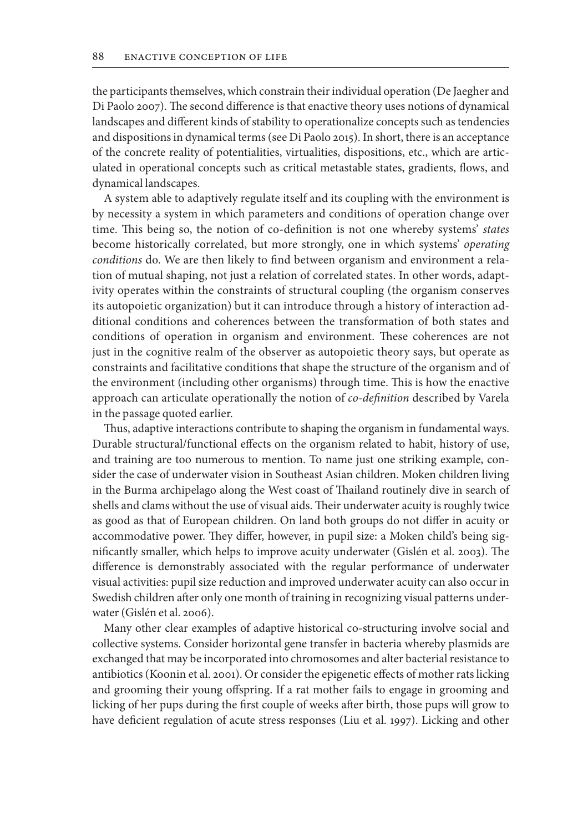the participants themselves, which constrain their individual operation (De Jaegher and Di Paolo 2007). The second difference is that enactive theory uses notions of dynamical landscapes and diferent kinds of stability to operationalize concepts such as tendencies and dispositions in dynamical terms (see Di Paolo 2015). In short, there is an acceptance of the concrete reality of potentialities, virtualities, dispositions, etc., which are articulated in operational concepts such as critical metastable states, gradients, fows, and dynamical landscapes.

A system able to adaptively regulate itself and its coupling with the environment is by necessity a system in which parameters and conditions of operation change over time. This being so, the notion of co-definition is not one whereby systems' *states* become historically correlated, but more strongly, one in which systems' *operating conditions* do. We are then likely to fnd between organism and environment a relation of mutual shaping, not just a relation of correlated states. In other words, adaptivity operates within the constraints of structural coupling (the organism conserves its autopoietic organization) but it can introduce through a history of interaction additional conditions and coherences between the transformation of both states and conditions of operation in organism and environment. These coherences are not just in the cognitive realm of the observer as autopoietic theory says, but operate as constraints and facilitative conditions that shape the structure of the organism and of the environment (including other organisms) through time. This is how the enactive approach can articulate operationally the notion of *co-de*f*nition* described by Varela in the passage quoted earlier.

Thus, adaptive interactions contribute to shaping the organism in fundamental ways. Durable structural/functional efects on the organism related to habit, history of use, and training are too numerous to mention. To name just one striking example, consider the case of underwater vision in Southeast Asian children. Moken children living in the Burma archipelago along the West coast of Thailand routinely dive in search of shells and clams without the use of visual aids. Their underwater acuity is roughly twice as good as that of European children. On land both groups do not difer in acuity or accommodative power. They differ, however, in pupil size: a Moken child's being significantly smaller, which helps to improve acuity underwater (Gislén et al. 2003). The diference is demonstrably associated with the regular performance of underwater visual activities: pupil size reduction and improved underwater acuity can also occur in Swedish children after only one month of training in recognizing visual patterns underwater (Gislén et al. 2006).

Many other clear examples of adaptive historical co-structuring involve social and collective systems. Consider horizontal gene transfer in bacteria whereby plasmids are exchanged that may be incorporated into chromosomes and alter bacterial resistance to antibiotics (Koonin et al. 2001). Or consider the epigenetic efects of mother rats licking and grooming their young ofspring. If a rat mother fails to engage in grooming and licking of her pups during the first couple of weeks after birth, those pups will grow to have defcient regulation of acute stress responses (Liu et al. 1997). Licking and other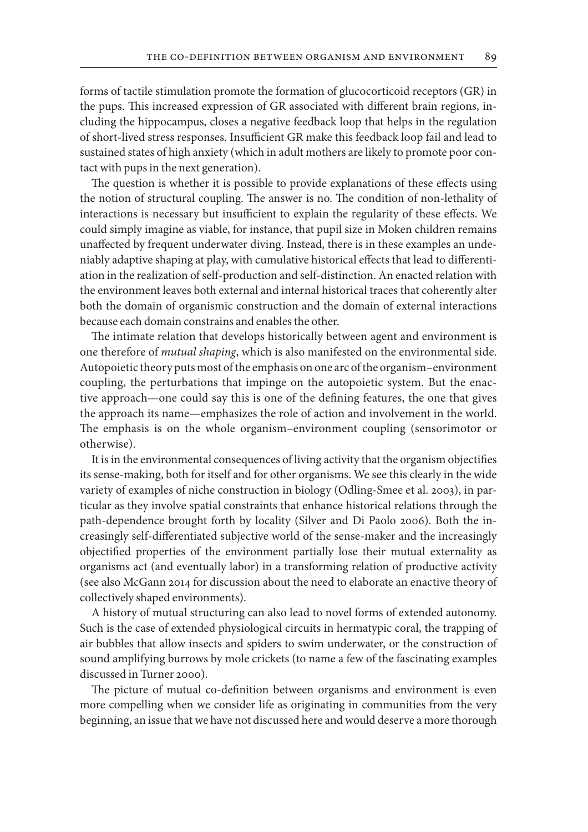forms of tactile stimulation promote the formation of glucocorticoid receptors (GR) in the pups. This increased expression of GR associated with different brain regions, including the hippocampus, closes a negative feedback loop that helps in the regulation of short-lived stress responses. Insufficient GR make this feedback loop fail and lead to sustained states of high anxiety (which in adult mothers are likely to promote poor contact with pups in the next generation).

The question is whether it is possible to provide explanations of these effects using the notion of structural coupling. The answer is no. The condition of non-lethality of interactions is necessary but insufficient to explain the regularity of these effects. We could simply imagine as viable, for instance, that pupil size in Moken children remains unafected by frequent underwater diving. Instead, there is in these examples an undeniably adaptive shaping at play, with cumulative historical efects that lead to diferentiation in the realization of self-production and self-distinction. An enacted relation with the environment leaves both external and internal historical traces that coherently alter both the domain of organismic construction and the domain of external interactions because each domain constrains and enables the other.

The intimate relation that develops historically between agent and environment is one therefore of *mutual shaping*, which is also manifested on the environmental side. Autopoietic theory puts most of the emphasis on one arc of the organism–environment coupling, the perturbations that impinge on the autopoietic system. But the enactive approach—one could say this is one of the defning features, the one that gives the approach its name—emphasizes the role of action and involvement in the world. The emphasis is on the whole organism-environment coupling (sensorimotor or otherwise).

It is in the environmental consequences of living activity that the organism objectifes its sense-making, both for itself and for other organisms. We see this clearly in the wide variety of examples of niche construction in biology (Odling-Smee et al. 2003), in particular as they involve spatial constraints that enhance historical relations through the path-dependence brought forth by locality (Silver and Di Paolo 2006). Both the increasingly self-diferentiated subjective world of the sense-maker and the increasingly objectifed properties of the environment partially lose their mutual externality as organisms act (and eventually labor) in a transforming relation of productive activity (see also McGann 2014 for discussion about the need to elaborate an enactive theory of collectively shaped environments).

A history of mutual structuring can also lead to novel forms of extended autonomy. Such is the case of extended physiological circuits in hermatypic coral, the trapping of air bubbles that allow insects and spiders to swim underwater, or the construction of sound amplifying burrows by mole crickets (to name a few of the fascinating examples discussed in Turner 2000).

The picture of mutual co-definition between organisms and environment is even more compelling when we consider life as originating in communities from the very beginning, an issue that we have not discussed here and would deserve a more thorough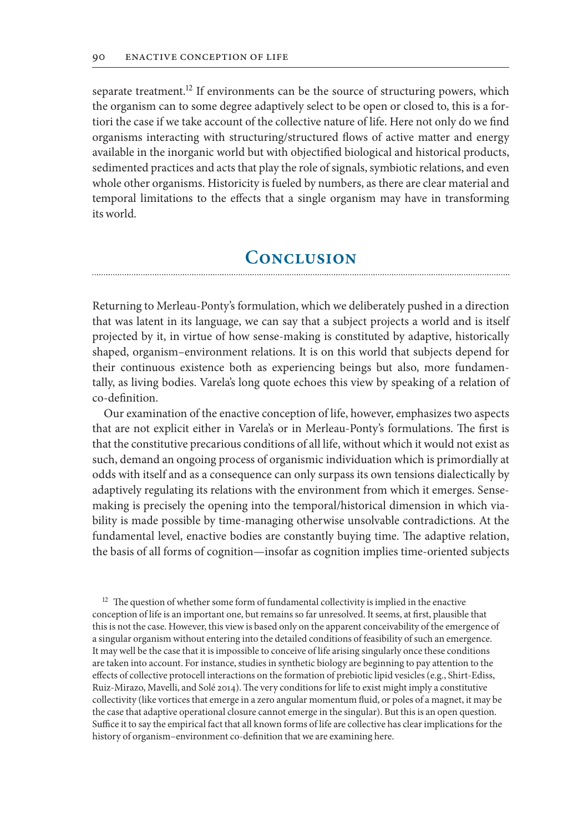separate treatment.<sup>12</sup> If environments can be the source of structuring powers, which the organism can to some degree adaptively select to be open or closed to, this is a fortiori the case if we take account of the collective nature of life. Here not only do we fnd organisms interacting with structuring/structured flows of active matter and energy available in the inorganic world but with objectifed biological and historical products, sedimented practices and acts that play the role of signals, symbiotic relations, and even whole other organisms. Historicity is fueled by numbers, as there are clear material and temporal limitations to the efects that a single organism may have in transforming itsworld.

### **Conclusion**

Returning to Merleau-Ponty's formulation, which we deliberately pushed in a direction that was latent in its language, we can say that a subject projects a world and is itself projected by it, in virtue of how sense-making is constituted by adaptive, historically shaped, organism–environment relations. It is on this world that subjects depend for their continuous existence both as experiencing beings but also, more fundamentally, as living bodies. Varela's long quote echoes this view by speaking of a relation of co-defnition.

Our examination of the enactive conception of life, however, emphasizes two aspects that are not explicit either in Varela's or in Merleau-Ponty's formulations. The first is that the constitutive precarious conditions of all life, without which it would not exist as such, demand an ongoing process of organismic individuation which is primordially at odds with itself and as a consequence can only surpass its own tensions dialectically by adaptively regulating its relations with the environment from which it emerges. Sensemaking is precisely the opening into the temporal/historical dimension in which viability is made possible by time-managing otherwise unsolvable contradictions. At the fundamental level, enactive bodies are constantly buying time. The adaptive relation, the basis of all forms of cognition—insofar as cognition implies time-oriented subjects

 $12$  The question of whether some form of fundamental collectivity is implied in the enactive conception of life is an important one, but remains so far unresolved. It seems, at frst, plausible that this is not the case. However, this view is based only on the apparent conceivability of the emergence of a singular organism without entering into the detailed conditions of feasibility of such an emergence. It may well be the case that it is impossible to conceive of life arising singularly once these conditions are taken into account. For instance, studies in synthetic biology are beginning to pay attention to the efects of collective protocell interactions on the formation of prebiotic lipid vesicles (e.g., Shirt-Ediss, Ruiz-Mirazo, Mavelli, and Solé 2014). The very conditions for life to exist might imply a constitutive collectivity (like vortices that emerge in a zero angular momentum fuid, or poles of a magnet, it may be the case that adaptive operational closure cannot emerge in the singular). But this is an open question. Suffice it to say the empirical fact that all known forms of life are collective has clear implications for the history of organism–environment co-defnition that we are examining here.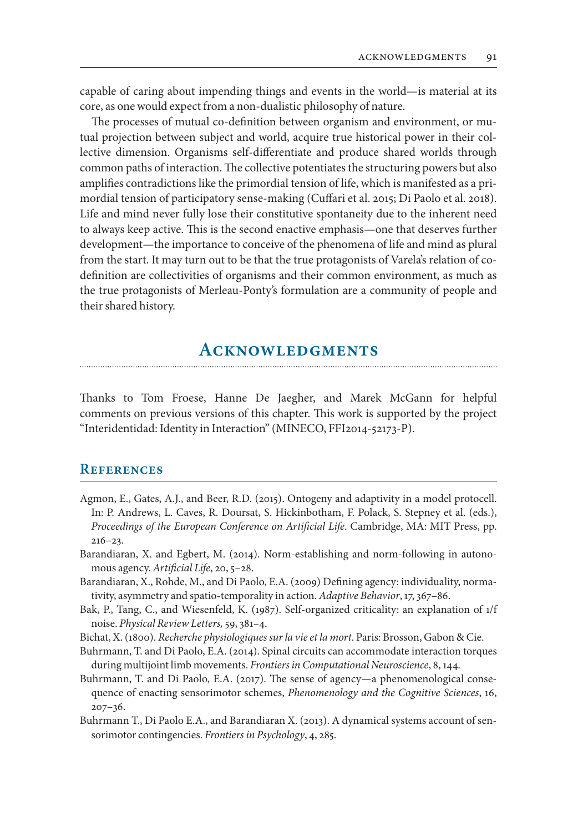capable of caring about impending things and events in the world—is material at its core, as one would expect from a non-dualistic philosophy of nature.

The processes of mutual co-definition between organism and environment, or mutual projection between subject and world, acquire true historical power in their collective dimension. Organisms self-diferentiate and produce shared worlds through common paths of interaction. The collective potentiates the structuring powers but also amplifes contradictions like the primordial tension of life, which is manifested as a primordial tension of participatory sense-making (Cufari et al. 2015; Di Paolo et al. 2018). Life and mind never fully lose their constitutive spontaneity due to the inherent need to always keep active. This is the second enactive emphasis—one that deserves further development—the importance to conceive of the phenomena of life and mind as plural from the start. It may turn out to be that the true protagonists of Varela's relation of codefnition are collectivities of organisms and their common environment, as much as the true protagonists of Merleau-Ponty's formulation are a community of people and their shared history.

# **Acknowledgments**

Tanks to Tom Froese, Hanne De Jaegher, and Marek McGann for helpful comments on previous versions of this chapter. This work is supported by the project "Interidentidad: Identity in Interaction" (MINECO, FFI2014-52173-P).

#### **References**

- Agmon, E., Gates, A.J., and Beer, R.D. (2015). Ontogeny and adaptivity in a model protocell. In: P. Andrews, L. Caves, R. Doursat, S. Hickinbotham, F. Polack, S. Stepney et al. (eds.), *Proceedings of the European Conference on Arti*f*cial Life*. Cambridge, MA: MIT Press, pp. 216–23.
- Barandiaran, X. and Egbert, M. (2014). Norm-establishing and norm-following in autonomous agency. *Arti*f*cial Life*, 20, 5–28.
- Barandiaran, X., Rohde, M., and Di Paolo, E.A. (2009) Defning agency: individuality, normativity, asymmetry and spatio-temporality in action. *Adaptive Behavior*, 17, 367–86.
- Bak, P., Tang, C., and Wiesenfeld, K. (1987). Self-organized criticality: an explanation of 1/f noise. *Physical Review Letters,* 59, 381–4.
- Bichat, X. (1800). *Recherche physiologiques sur la vie et la mort*. Paris: Brosson, Gabon & Cie.
- Buhrmann, T. and Di Paolo, E.A. (2014). Spinal circuits can accommodate interaction torques during multijoint limb movements. *Frontiers in Computational Neuroscience*, 8, 144.
- Buhrmann, T. and Di Paolo, E.A. (2017). The sense of agency—a phenomenological consequence of enacting sensorimotor schemes, *Phenomenology and the Cognitive Sciences*, 16, 207–36.
- Buhrmann T., Di Paolo E.A., and Barandiaran X. (2013). A dynamical systems account of sensorimotor contingencies. *Frontiers in Psychology*, 4, 285.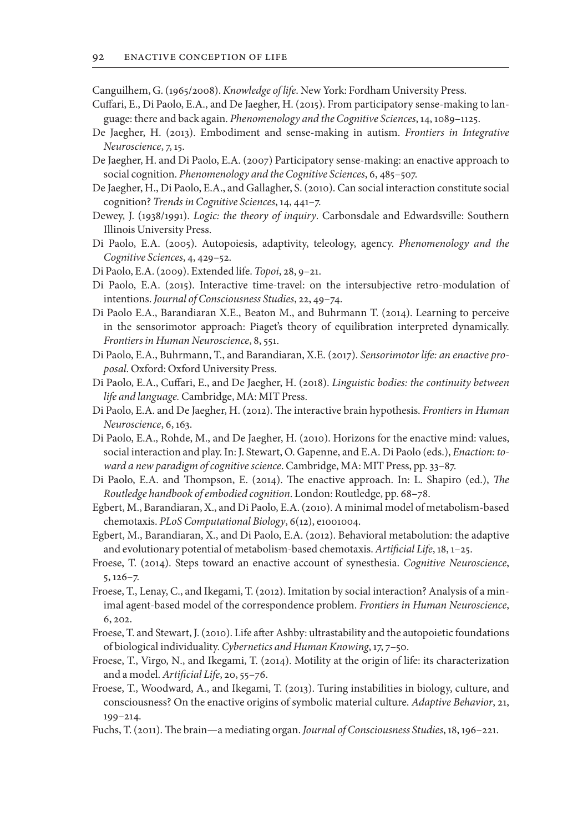Canguilhem, G. (1965/2008). *Knowledge of life*. NewYork: Fordham University Press.

- Cufari, E., Di Paolo, E.A., and De Jaegher, H. (2015). From participatory sense-making to language: there and back again. *Phenomenology and the Cognitive Sciences*, 14, 1089–1125.
- De Jaegher, H. (2013). Embodiment and sense-making in autism. *Frontiers in Integrative Neuroscience*, 7, 15.
- De Jaegher, H. and Di Paolo, E.A. (2007) Participatory sense-making: an enactive approach to social cognition. *Phenomenology and the Cognitive Sciences*, 6, 485–507.
- De Jaegher, H., Di Paolo, E.A., and Gallagher, S. (2010). Can social interaction constitute social cognition? *Trends in Cognitive Sciences*, 14, 441–7.
- Dewey, J. (1938/1991). *Logic: the theory of inquiry*. Carbonsdale and Edwardsville: Southern Illinois University Press.
- Di Paolo, E.A. (2005). Autopoiesis, adaptivity, teleology, agency. *Phenomenology and the Cognitive Sciences*, 4, 429–52.
- Di Paolo, E.A. (2009). Extended life. *Topoi*, 28, 9–21.
- Di Paolo, E.A. (2015). Interactive time-travel: on the intersubjective retro-modulation of intentions. *Journal of Consciousness Studies*, 22, 49–74.
- Di Paolo E.A., Barandiaran X.E., Beaton M., and Buhrmann T. (2014). Learning to perceive in the sensorimotor approach: Piaget's theory of equilibration interpreted dynamically. *Frontiers in Human Neuroscience*, 8, 551.
- Di Paolo, E.A., Buhrmann, T., and Barandiaran, X.E. (2017). *Sensorimotor life: an enactive proposal*. Oxford: Oxford University Press.
- Di Paolo, E.A., Cufari, E., and De Jaegher, H. (2018). *Linguistic bodies: the continuity between life and language.* Cambridge, MA: MIT Press.
- Di Paolo, E.A. and De Jaegher, H. (2012). The interactive brain hypothesis. *Frontiers in Human Neuroscience*, 6, 163.
- Di Paolo, E.A., Rohde, M., and De Jaegher, H. (2010). Horizons for the enactive mind: values, social interaction and play. In: J. Stewart, O. Gapenne, and E.A. Di Paolo (eds.), *Enaction: toward a new paradigm of cognitive science*. Cambridge, MA: MIT Press, pp. 33–87.
- Di Paolo, E.A. and Thompson, E. (2014). The enactive approach. In: L. Shapiro (ed.), The *Routledge handbook of embodied cognition*. London: Routledge, pp. 68–78.
- Egbert, M., Barandiaran, X., and Di Paolo, E.A. (2010). A minimal model of metabolism-based chemotaxis. *PLoS Computational Biology*, 6(12), e1001004.
- Egbert, M., Barandiaran, X., and Di Paolo, E.A. (2012). Behavioral metabolution: the adaptive and evolutionary potential of metabolism-based chemotaxis. *Arti*f*cial Life*, 18, 1–25.
- Froese, T. (2014). Steps toward an enactive account of synesthesia. *Cognitive Neuroscience*, 5, 126–7.
- Froese, T., Lenay, C., and Ikegami, T. (2012). Imitation by social interaction? Analysis of a minimal agent-based model of the correspondence problem. *Frontiers in Human Neuroscience*, 6, 202.
- Froese, T. and Stewart, J. (2010). Life afer Ashby: ultrastability and the autopoietic foundations of biological individuality. *Cybernetics and Human Knowing*, 17, 7–50.
- Froese, T., Virgo, N., and Ikegami, T. (2014). Motility at the origin of life: its characterization and a model. *Arti*f*cial Life*, 20, 55–76.
- Froese, T., Woodward, A., and Ikegami, T. (2013). Turing instabilities in biology, culture, and consciousness? On the enactive origins of symbolic material culture. *Adaptive Behavior*, 21, 199–214.
- Fuchs, T. (2011). Te brain—a mediating organ. *Journal of Consciousness Studies*, 18, 196–221.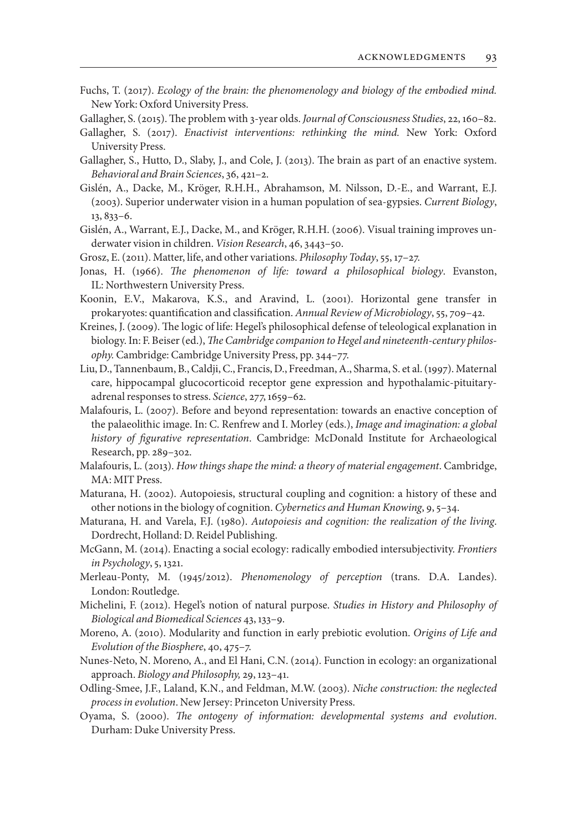Fuchs, T. (2017). *Ecology of the brain: the phenomenology and biology of the embodied mind.* NewYork: Oxford University Press.

Gallagher, S. (2015). The problem with 3-year olds. *Journal of Consciousness Studies*, 22, 160-82.

- Gallagher, S. (2017). *Enactivist interventions: rethinking the mind.* New York: Oxford University Press.
- Gallagher, S., Hutto, D., Slaby, J., and Cole, J. (2013). The brain as part of an enactive system. *Behavioral and Brain Sciences*, 36, 421–2.
- Gislén, A., Dacke, M., Kröger, R.H.H., Abrahamson, M. Nilsson, D.-E., and Warrant, E.J. (2003). Superior underwater vision in a human population of sea-gypsies. *Current Biology*, 13, 833–6.
- Gislén, A., Warrant, E.J., Dacke, M., and Kröger, R.H.H. (2006). Visual training improves underwater vision in children. *Vision Research*, 46, 3443–50.
- Grosz, E. (2011). Matter, life, and other variations. *Philosophy Today*, 55, 17–27.
- Jonas, H. (1966). T*e phenomenon of life: toward a philosophical biology*. Evanston, IL: Northwestern University Press.
- Koonin, E.V., Makarova, K.S., and Aravind, L. (2001). Horizontal gene transfer in prokaryotes: quantifcation and classifcation. *Annual Review of Microbiology*, 55, 709–42.
- Kreines, J. (2009). The logic of life: Hegel's philosophical defense of teleological explanation in biology. In: F. Beiser (ed.), *The Cambridge companion to Hegel and nineteenth-century philosophy.* Cambridge: Cambridge University Press, pp. 344–77.
- Liu, D., Tannenbaum, B., Caldji, C., Francis, D., Freedman, A., Sharma, S. et al. (1997). Maternal care, hippocampal glucocorticoid receptor gene expression and hypothalamic-pituitaryadrenal responses to stress. *Science*, 277, 1659–62.
- Malafouris, L. (2007). Before and beyond representation: towards an enactive conception of the palaeolithic image. In: C. Renfrew and I. Morley (eds.), *Image and imagination: a global history of* f*gurative representation*. Cambridge: McDonald Institute for Archaeological Research, pp. 289–302.
- Malafouris, L. (2013). *How things shape the mind: a theory of material engagement*. Cambridge, MA: MIT Press.
- Maturana, H. (2002). Autopoiesis, structural coupling and cognition: a history of these and other notions in the biology of cognition. *Cybernetics and Human Knowing*, 9, 5–34.
- Maturana, H. and Varela, F.J. (1980). *Autopoiesis and cognition: the realization of the living*. Dordrecht, Holland: D. Reidel Publishing.
- McGann, M. (2014). Enacting a social ecology: radically embodied intersubjectivity. *Frontiers in Psychology*, 5, 1321.
- Merleau-Ponty, M. (1945/2012). *Phenomenology of perception* (trans. D.A. Landes). London: Routledge.
- Michelini, F. (2012). Hegel's notion of natural purpose. *Studies in History and Philosophy of Biological and Biomedical Sciences* 43, 133–9.
- Moreno, A. (2010). Modularity and function in early prebiotic evolution. *Origins of Life and Evolution of the Biosphere*, 40, 475–7.
- Nunes-Neto, N. Moreno, A., and El Hani, C.N. (2014). Function in ecology: an organizational approach. *Biology and Philosophy,* 29, 123–41.
- Odling-Smee, J.F., Laland, K.N., and Feldman, M.W. (2003). *Niche construction: the neglected process in evolution*. New Jersey: Princeton University Press.
- Oyama, S. (2000). T*e ontogeny of information: developmental systems and evolution*. Durham: Duke University Press.